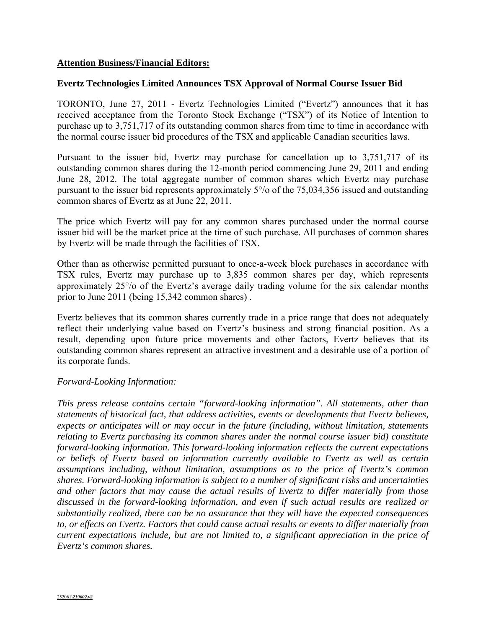## **Attention Business/Financial Editors:**

## **Evertz Technologies Limited Announces TSX Approval of Normal Course Issuer Bid**

TORONTO, June 27, 2011 - Evertz Technologies Limited ("Evertz") announces that it has received acceptance from the Toronto Stock Exchange ("TSX") of its Notice of Intention to purchase up to 3,751,717 of its outstanding common shares from time to time in accordance with the normal course issuer bid procedures of the TSX and applicable Canadian securities laws.

Pursuant to the issuer bid, Evertz may purchase for cancellation up to 3,751,717 of its outstanding common shares during the 12-month period commencing June 29, 2011 and ending June 28, 2012. The total aggregate number of common shares which Evertz may purchase pursuant to the issuer bid represents approximately 5°/о of the 75,034,356 issued and outstanding common shares of Evertz as at June 22, 2011.

The price which Evertz will pay for any common shares purchased under the normal course issuer bid will be the market price at the time of such purchase. All purchases of common shares by Evertz will be made through the facilities of TSX.

Other than as otherwise permitted pursuant to once-a-week block purchases in accordance with TSX rules, Evertz may purchase up to 3,835 common shares per day, which represents approximately 25°/о of the Evertz's average daily trading volume for the six calendar months prior to June 2011 (being 15,342 common shares) .

Evertz believes that its common shares currently trade in a price range that does not adequately reflect their underlying value based on Evertz's business and strong financial position. As a result, depending upon future price movements and other factors, Evertz believes that its outstanding common shares represent an attractive investment and a desirable use of a portion of its corporate funds.

## *Forward-Looking Information:*

*This press release contains certain "forward-looking information". All statements, other than statements of historical fact, that address activities, events or developments that Evertz believes, expects or anticipates will or may occur in the future (including, without limitation, statements relating to Evertz purchasing its common shares under the normal course issuer bid) constitute forward-looking information. This forward-looking information reflects the current expectations or beliefs of Evertz based on information currently available to Evertz as well as certain assumptions including, without limitation, assumptions as to the price of Evertz's common shares. Forward-looking information is subject to a number of significant risks and uncertainties and other factors that may cause the actual results of Evertz to differ materially from those discussed in the forward-looking information, and even if such actual results are realized or substantially realized, there can be no assurance that they will have the expected consequences to, or effects on Evertz. Factors that could cause actual results or events to differ materially from current expectations include, but are not limited to, a significant appreciation in the price of Evertz's common shares.*